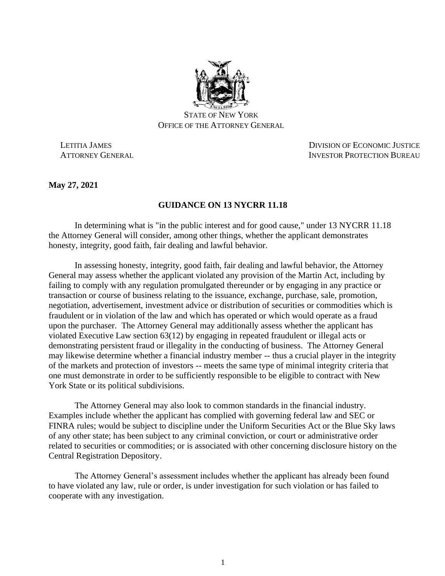

STATE OF NEW YORK OFFICE OF THE ATTORNEY GENERAL

 LETITIA JAMES DIVISION OF ECONOMIC JUSTICE ATTORNEY GENERAL **INVESTOR PROTECTION BUREAU** 

**May 27, 2021**

## **GUIDANCE ON 13 NYCRR 11.18**

In determining what is "in the public interest and for good cause," under 13 NYCRR 11.18 the Attorney General will consider, among other things, whether the applicant demonstrates honesty, integrity, good faith, fair dealing and lawful behavior.

In assessing honesty, integrity, good faith, fair dealing and lawful behavior, the Attorney General may assess whether the applicant violated any provision of the Martin Act, including by failing to comply with any regulation promulgated thereunder or by engaging in any practice or transaction or course of business relating to the issuance, exchange, purchase, sale, promotion, negotiation, advertisement, investment advice or distribution of securities or commodities which is fraudulent or in violation of the law and which has operated or which would operate as a fraud upon the purchaser. The Attorney General may additionally assess whether the applicant has violated Executive Law section 63(12) by engaging in repeated fraudulent or illegal acts or demonstrating persistent fraud or illegality in the conducting of business. The Attorney General may likewise determine whether a financial industry member -- thus a crucial player in the integrity of the markets and protection of investors -- meets the same type of minimal integrity criteria that one must demonstrate in order to be sufficiently responsible to be eligible to contract with New York State or its political subdivisions.

The Attorney General may also look to common standards in the financial industry. Examples include whether the applicant has complied with governing federal law and SEC or FINRA rules; would be subject to discipline under the Uniform Securities Act or the Blue Sky laws of any other state; has been subject to any criminal conviction, or court or administrative order related to securities or commodities; or is associated with other concerning disclosure history on the Central Registration Depository.

The Attorney General's assessment includes whether the applicant has already been found to have violated any law, rule or order, is under investigation for such violation or has failed to cooperate with any investigation.